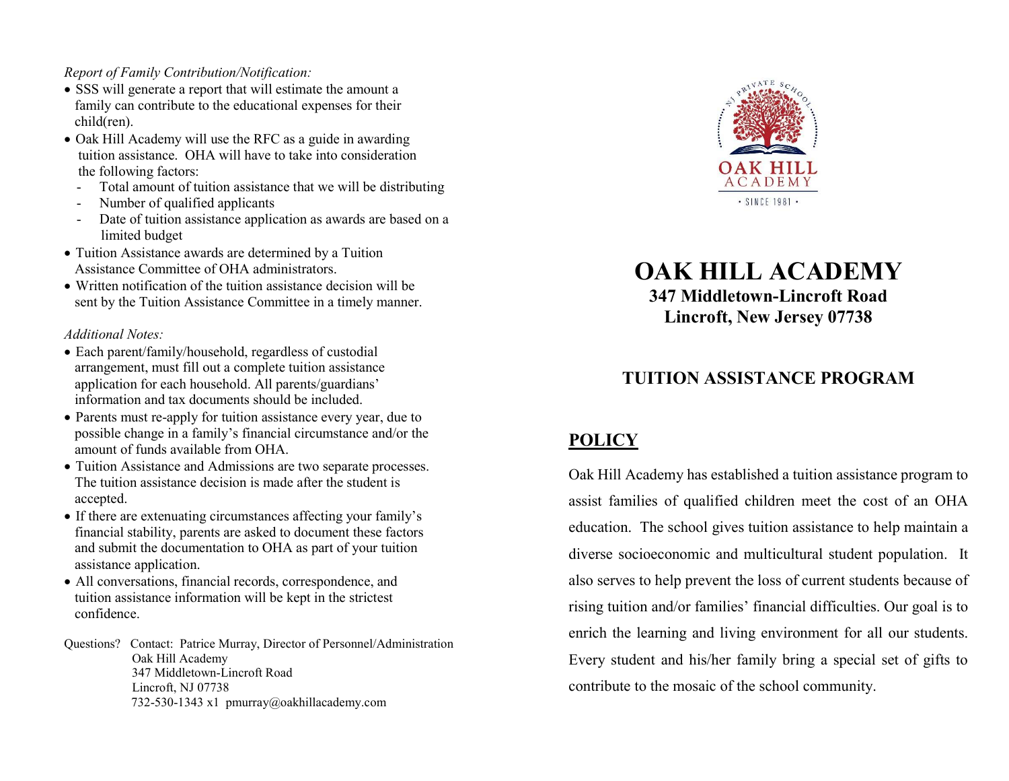# Report of Family Contribution/Notification:

- SSS will generate a report that will estimate the amount a family can contribute to the educational expenses for their child(ren).
- Oak Hill Academy will use the RFC as a guide in awarding tuition assistance. OHA will have to take into consideration the following factors:
	- Total amount of tuition assistance that we will be distributing
	- Number of qualified applicants
	- Date of tuition assistance application as awards are based on a limited budget
- Tuition Assistance awards are determined by a Tuition Assistance Committee of OHA administrators.
- Written notification of the tuition assistance decision will be sent by the Tuition Assistance Committee in a timely manner.

## Additional Notes:

- Each parent/family/household, regardless of custodial arrangement, must fill out a complete tuition assistance application for each household. All parents/guardians' information and tax documents should be included.
- Parents must re-apply for tuition assistance every year, due to possible change in a family's financial circumstance and/or the amount of funds available from OHA.
- Tuition Assistance and Admissions are two separate processes. The tuition assistance decision is made after the student is accepted.
- If there are extenuating circumstances affecting your family's financial stability, parents are asked to document these factors and submit the documentation to OHA as part of your tuition assistance application.
- All conversations, financial records, correspondence, and tuition assistance information will be kept in the strictest confidence.

Questions? Contact: Patrice Murray, Director of Personnel/Administration Oak Hill Academy 347 Middletown-Lincroft Road Lincroft, NJ 07738 732-530-1343 x1 pmurray@oakhillacademy.com



OAK HILL ACADEMY

347 Middletown-Lincroft Road Lincroft, New Jersey 07738

# TUITION ASSISTANCE PROGRAM

# POLICY

Oak Hill Academy has established a tuition assistance program to assist families of qualified children meet the cost of an OHA education. The school gives tuition assistance to help maintain a diverse socioeconomic and multicultural student population. It also serves to help prevent the loss of current students because of rising tuition and/or families' financial difficulties. Our goal is to enrich the learning and living environment for all our students. Every student and his/her family bring a special set of gifts to contribute to the mosaic of the school community.